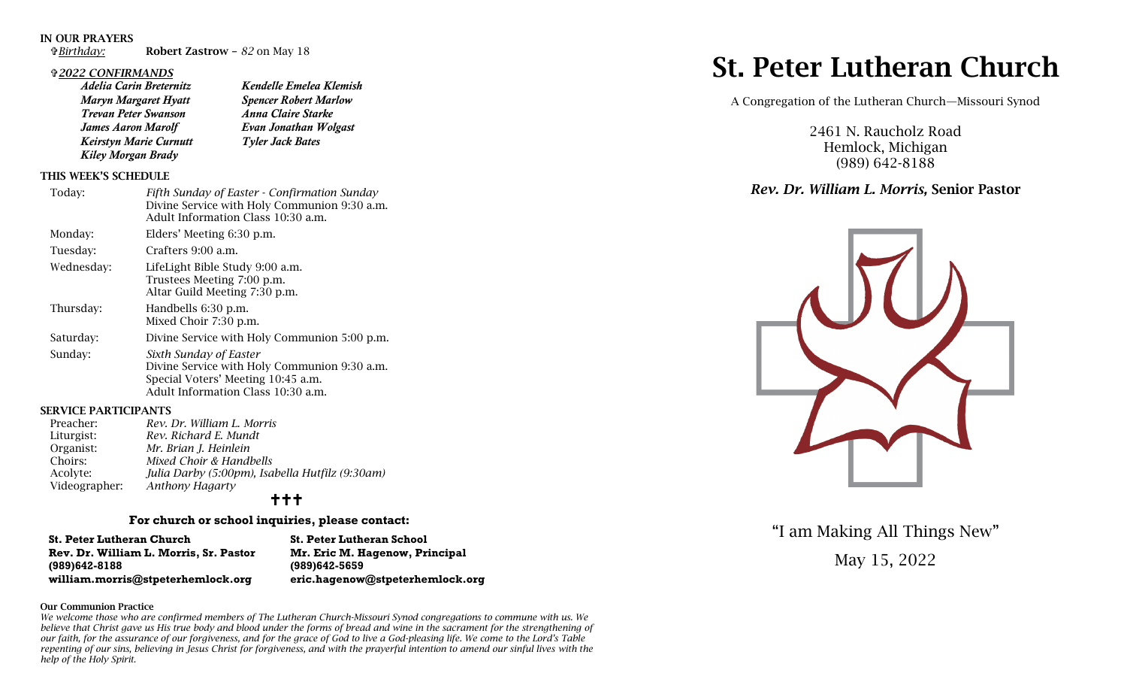### IN OUR PRAYERS

*Birthday:* Robert Zastrow – *82* on May 18

### *2022 CONFIRMANDS*

*Adelia Carin Breternitz Kendelle Emelea Klemish Maryn Margaret Hyatt Spencer Robert Marlow Trevan Peter Swanson Anna Claire Starke James Aaron Marolf Evan Jonathan Wolgast Keirstyn Marie Curnutt Tyler Jack Bates Kiley Morgan Brady* 

# THIS WEEK'S SCHEDULE

| Today:     | Fifth Sunday of Easter - Confirmation Sunday<br>Divine Service with Holy Communion 9:30 a.m.<br>Adult Information Class 10:30 a.m.                 |
|------------|----------------------------------------------------------------------------------------------------------------------------------------------------|
| Monday:    | Elders' Meeting 6:30 p.m.                                                                                                                          |
| Tuesday:   | Crafters 9:00 a.m.                                                                                                                                 |
| Wednesday: | LifeLight Bible Study 9:00 a.m.<br>Trustees Meeting 7:00 p.m.<br>Altar Guild Meeting 7:30 p.m.                                                     |
| Thursday:  | Handbells 6:30 p.m.<br>Mixed Choir 7:30 p.m.                                                                                                       |
| Saturday:  | Divine Service with Holy Communion 5:00 p.m.                                                                                                       |
| Sunday:    | Sixth Sunday of Easter<br>Divine Service with Holy Communion 9:30 a.m.<br>Special Voters' Meeting 10:45 a.m.<br>Adult Information Class 10:30 a.m. |

# SERVICE PARTICIPANTS

| Preacher:     | Rev. Dr. William L. Morris                      |
|---------------|-------------------------------------------------|
| Liturgist:    | Rev. Richard E. Mundt                           |
| Organist:     | Mr. Brian J. Heinlein                           |
| Choirs:       | Mixed Choir & Handbells                         |
| Acolyte:      | Julia Darby (5:00pm), Isabella Hutfilz (9:30am) |
| Videographer: | <b>Anthony Hagarty</b>                          |
|               |                                                 |

# $+++$

# **For church or school inquiries, please contact:**

| <b>St. Peter Lutheran Church</b>       |
|----------------------------------------|
| Rev. Dr. William L. Morris, Sr. Pastor |
| $(989)642 - 8188$                      |
| william.morris@stpeterhemlock.org      |

**St. Peter Lutheran School Rev. Dr. William L. Morris, Sr. Pastor Mr. Eric M. Hagenow, Principal (989)642-8188 (989)642-5659 [william.morris@stpeterhemlock.org](mailto:william.morris@stpeterhemlock.org) [eric.hagenow@stpeterhemlock.org](mailto:eric.hagenow@stpeterhemlock.org)**

#### Our Communion Practice

*We welcome those who are confirmed members of The Lutheran Church-Missouri Synod congregations to commune with us. We believe that Christ gave us His true body and blood under the forms of bread and wine in the sacrament for the strengthening of our faith, for the assurance of our forgiveness, and for the grace of God to live a God-pleasing life. We come to the Lord's Table repenting of our sins, believing in Jesus Christ for forgiveness, and with the prayerful intention to amend our sinful lives with the help of the Holy Spirit.* 

# St. Peter Lutheran Church

A Congregation of the Lutheran Church—Missouri Synod

2461 N. Raucholz Road Hemlock, Michigan (989) 642-8188

# *Rev. Dr. William L. Morris,* Senior Pastor



"I am Making All Things New"

May 15, 2022